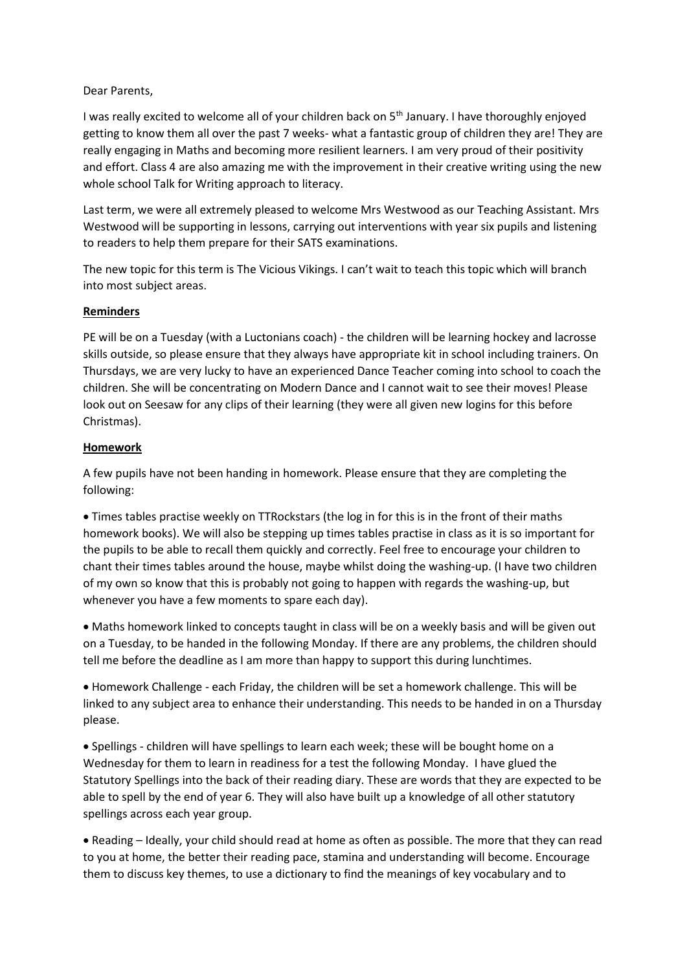## Dear Parents,

I was really excited to welcome all of your children back on 5<sup>th</sup> January. I have thoroughly enjoyed getting to know them all over the past 7 weeks- what a fantastic group of children they are! They are really engaging in Maths and becoming more resilient learners. I am very proud of their positivity and effort. Class 4 are also amazing me with the improvement in their creative writing using the new whole school Talk for Writing approach to literacy.

Last term, we were all extremely pleased to welcome Mrs Westwood as our Teaching Assistant. Mrs Westwood will be supporting in lessons, carrying out interventions with year six pupils and listening to readers to help them prepare for their SATS examinations.

The new topic for this term is The Vicious Vikings. I can't wait to teach this topic which will branch into most subject areas.

## **Reminders**

PE will be on a Tuesday (with a Luctonians coach) - the children will be learning hockey and lacrosse skills outside, so please ensure that they always have appropriate kit in school including trainers. On Thursdays, we are very lucky to have an experienced Dance Teacher coming into school to coach the children. She will be concentrating on Modern Dance and I cannot wait to see their moves! Please look out on Seesaw for any clips of their learning (they were all given new logins for this before Christmas).

## **Homework**

A few pupils have not been handing in homework. Please ensure that they are completing the following:

• Times tables practise weekly on TTRockstars (the log in for this is in the front of their maths homework books). We will also be stepping up times tables practise in class as it is so important for the pupils to be able to recall them quickly and correctly. Feel free to encourage your children to chant their times tables around the house, maybe whilst doing the washing-up. (I have two children of my own so know that this is probably not going to happen with regards the washing-up, but whenever you have a few moments to spare each day).

• Maths homework linked to concepts taught in class will be on a weekly basis and will be given out on a Tuesday, to be handed in the following Monday. If there are any problems, the children should tell me before the deadline as I am more than happy to support this during lunchtimes.

• Homework Challenge - each Friday, the children will be set a homework challenge. This will be linked to any subject area to enhance their understanding. This needs to be handed in on a Thursday please.

• Spellings - children will have spellings to learn each week; these will be bought home on a Wednesday for them to learn in readiness for a test the following Monday. I have glued the Statutory Spellings into the back of their reading diary. These are words that they are expected to be able to spell by the end of year 6. They will also have built up a knowledge of all other statutory spellings across each year group.

• Reading – Ideally, your child should read at home as often as possible. The more that they can read to you at home, the better their reading pace, stamina and understanding will become. Encourage them to discuss key themes, to use a dictionary to find the meanings of key vocabulary and to